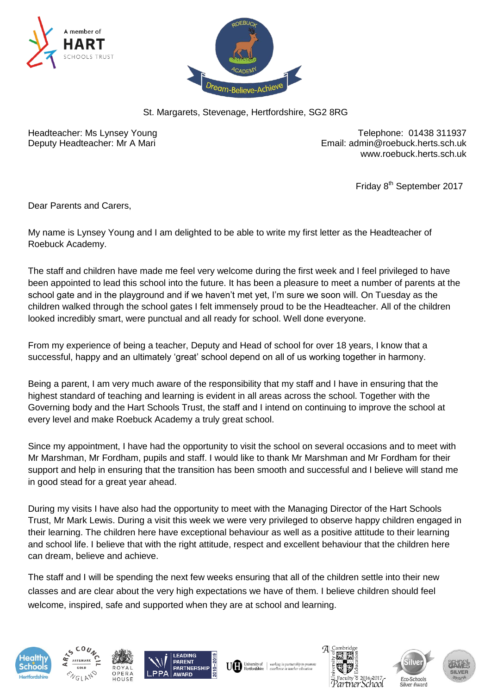



St. Margarets, Stevenage, Hertfordshire, SG2 8RG

Headteacher: Ms Lynsey Young Telephone: 01438 311937 Deputy Headteacher: Mr A Mari **Email: [admin@roebuck.herts.sch.uk](mailto:admin@roebuck.herts.sch.uk)** [www.roebuck.herts.sch.uk](http://www.roebuck.herts.sch.uk/)

Friday 8<sup>th</sup> September 2017

Dear Parents and Carers,

My name is Lynsey Young and I am delighted to be able to write my first letter as the Headteacher of Roebuck Academy.

The staff and children have made me feel very welcome during the first week and I feel privileged to have been appointed to lead this school into the future. It has been a pleasure to meet a number of parents at the school gate and in the playground and if we haven't met yet, I'm sure we soon will. On Tuesday as the children walked through the school gates I felt immensely proud to be the Headteacher. All of the children looked incredibly smart, were punctual and all ready for school. Well done everyone.

From my experience of being a teacher, Deputy and Head of school for over 18 years, I know that a successful, happy and an ultimately 'great' school depend on all of us working together in harmony.

Being a parent, I am very much aware of the responsibility that my staff and I have in ensuring that the highest standard of teaching and learning is evident in all areas across the school. Together with the Governing body and the Hart Schools Trust, the staff and I intend on continuing to improve the school at every level and make Roebuck Academy a truly great school.

Since my appointment, I have had the opportunity to visit the school on several occasions and to meet with Mr Marshman, Mr Fordham, pupils and staff. I would like to thank Mr Marshman and Mr Fordham for their support and help in ensuring that the transition has been smooth and successful and I believe will stand me in good stead for a great year ahead.

During my visits I have also had the opportunity to meet with the Managing Director of the Hart Schools Trust, Mr Mark Lewis. During a visit this week we were very privileged to observe happy children engaged in their learning. The children here have exceptional behaviour as well as a positive attitude to their learning and school life. I believe that with the right attitude, respect and excellent behaviour that the children here can dream, believe and achieve.

The staff and I will be spending the next few weeks ensuring that all of the children settle into their new classes and are clear about the very high expectations we have of them. I believe children should feel welcome, inspired, safe and supported when they are at school and learning.